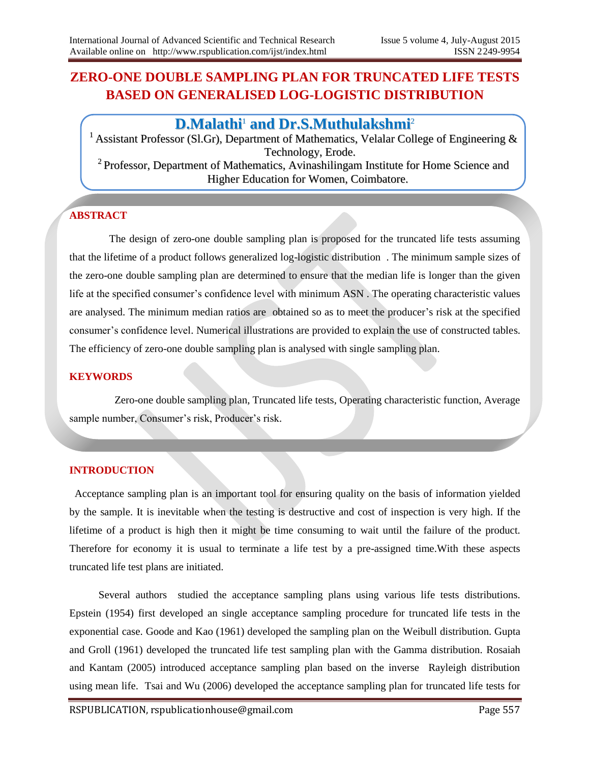# **ZERO-ONE DOUBLE SAMPLING PLAN FOR TRUNCATED LIFE TESTS BASED ON GENERALISED LOG-LOGISTIC DISTRIBUTION**

## **D.Malathi** <sup>1</sup> **and Dr.S.Muthulakshmi** 2

<sup>1</sup> Assistant Professor (Sl.Gr), Department of Mathematics, Velalar College of Engineering  $\&$ Technology, Erode. <sup>2</sup> Professor, Department of Mathematics, Avinashilingam Institute for Home Science and Higher Education for Women, Coimbatore.

## **ABSTRACT**

 The design of zero-one double sampling plan is proposed for the truncated life tests assuming that the lifetime of a product follows generalized log-logistic distribution . The minimum sample sizes of the zero-one double sampling plan are determined to ensure that the median life is longer than the given life at the specified consumer's confidence level with minimum ASN . The operating characteristic values are analysed. The minimum median ratios are obtained so as to meet the producer's risk at the specified consumer's confidence level. Numerical illustrations are provided to explain the use of constructed tables. The efficiency of zero-one double sampling plan is analysed with single sampling plan.

#### **KEYWORDS**

 Zero-one double sampling plan, Truncated life tests, Operating characteristic function, Average sample number, Consumer's risk, Producer's risk.

#### **INTRODUCTION**

 Acceptance sampling plan is an important tool for ensuring quality on the basis of information yielded by the sample. It is inevitable when the testing is destructive and cost of inspection is very high. If the lifetime of a product is high then it might be time consuming to wait until the failure of the product. Therefore for economy it is usual to terminate a life test by a pre-assigned time.With these aspects truncated life test plans are initiated.

 Several authors studied the acceptance sampling plans using various life tests distributions. Epstein (1954) first developed an single acceptance sampling procedure for truncated life tests in the exponential case. Goode and Kao (1961) developed the sampling plan on the Weibull distribution. Gupta and Groll (1961) developed the truncated life test sampling plan with the Gamma distribution. Rosaiah and Kantam (2005) introduced acceptance sampling plan based on the inverse Rayleigh distribution using mean life. Tsai and Wu (2006) developed the acceptance sampling plan for truncated life tests for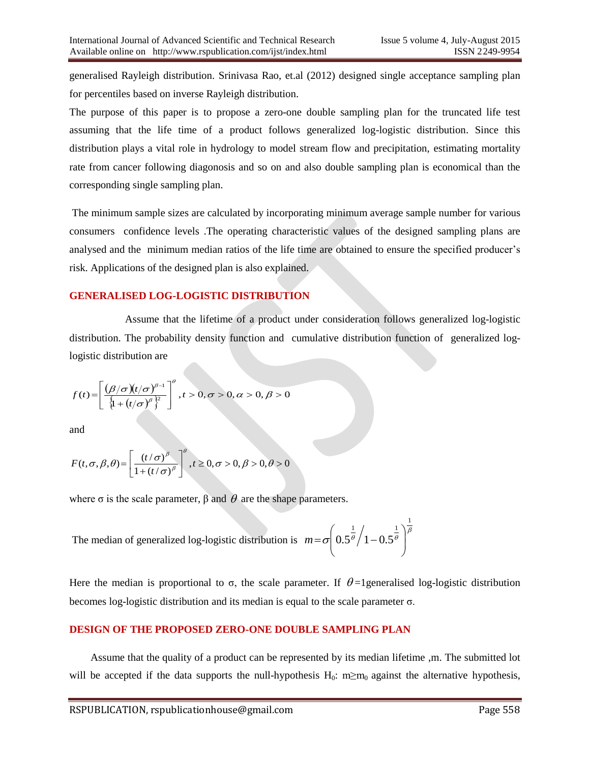generalised Rayleigh distribution. Srinivasa Rao, et.al (2012) designed single acceptance sampling plan for percentiles based on inverse Rayleigh distribution.

The purpose of this paper is to propose a zero-one double sampling plan for the truncated life test assuming that the life time of a product follows generalized log-logistic distribution. Since this distribution plays a vital role in hydrology to model stream flow and precipitation, estimating mortality rate from cancer following diagonosis and so on and also double sampling plan is economical than the corresponding single sampling plan.

The minimum sample sizes are calculated by incorporating minimum average sample number for various consumers confidence levels .The operating characteristic values of the designed sampling plans are analysed and the minimum median ratios of the life time are obtained to ensure the specified producer's risk. Applications of the designed plan is also explained.

#### **GENERALISED LOG-LOGISTIC DISTRIBUTION**

 Assume that the lifetime of a product under consideration follows generalized log-logistic distribution. The probability density function and cumulative distribution function of generalized loglogistic distribution are

$$
f(t) = \left[ \frac{(\beta/\sigma)(t/\sigma)^{\beta-1}}{\left\{1 + (t/\sigma)^{\beta}\right\}^2} \right]^{\theta}, t > 0, \sigma > 0, \alpha > 0, \beta > 0
$$

and

$$
F(t, \sigma, \beta, \theta) = \left[\frac{(t/\sigma)^{\beta}}{1 + (t/\sigma)^{\beta}}\right]^{\theta}, t \ge 0, \sigma > 0, \beta > 0, \theta > 0
$$

where  $\sigma$  is the scale parameter,  $\beta$  and  $\theta$  are the shape parameters.

The median of generalized log-logistic distribution is  $m = \sigma \left( 0.5^{\frac{1}{\theta}} \right) \left( 1 - 0.5^{\frac{1}{\theta}} \right)^{\beta}$ 1 /  $1 \sqrt{\frac{1}{6}}$  $0.5^{\overline{\theta}}\big/$  1  $0.5^{\overline{\theta}}\,$   $\Big|$ J  $\backslash$  $\overline{\phantom{a}}$  $\setminus$ ſ  $m = \sigma \frac{1}{2} 0.5^{\theta}/1 -$ 

Here the median is proportional to  $\sigma$ , the scale parameter. If  $\theta$ =1 generalised log-logistic distribution becomes log-logistic distribution and its median is equal to the scale parameter σ.

#### **DESIGN OF THE PROPOSED ZERO-ONE DOUBLE SAMPLING PLAN**

 Assume that the quality of a product can be represented by its median lifetime ,m. The submitted lot will be accepted if the data supports the null-hypothesis  $H_0$ : m≥m<sub>0</sub> against the alternative hypothesis,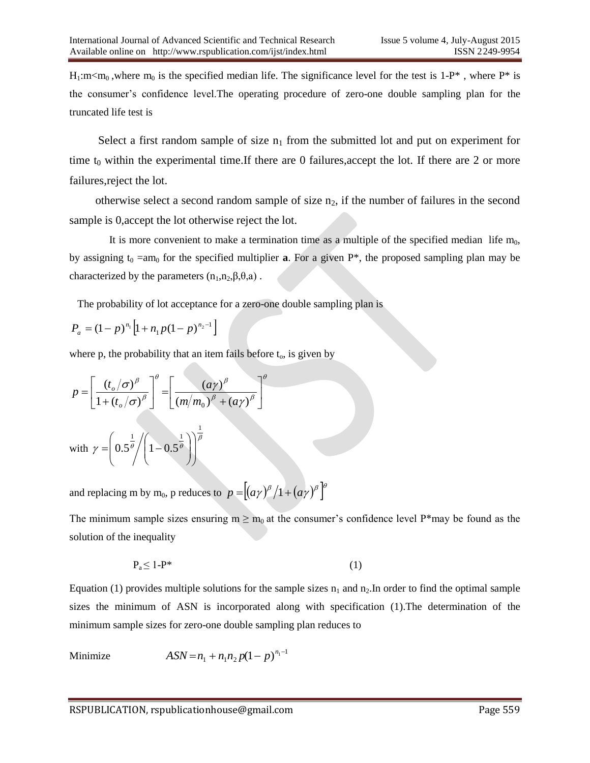$H_1: m \lt m_0$ , where  $m_0$  is the specified median life. The significance level for the test is 1-P<sup>\*</sup>, where P<sup>\*</sup> is the consumer's confidence level.The operating procedure of zero-one double sampling plan for the truncated life test is

Select a first random sample of size  $n_1$  from the submitted lot and put on experiment for time  $t_0$  within the experimental time.If there are 0 failures, accept the lot. If there are 2 or more failures,reject the lot.

otherwise select a second random sample of size  $n_2$ , if the number of failures in the second sample is 0,accept the lot otherwise reject the lot.

It is more convenient to make a termination time as a multiple of the specified median life  $m_0$ , by assigning  $t_0 = am_0$  for the specified multiplier **a**. For a given P<sup>\*</sup>, the proposed sampling plan may be characterized by the parameters  $(n_1, n_2, \beta, \theta, a)$ .

The probability of lot acceptance for a zero-one double sampling plan is

$$
P_a = (1-p)^{n_1} \left[ 1 + n_1 p (1-p)^{n_2 - 1} \right]
$$

where p, the probability that an item fails before  $t_0$ , is given by

$$
p = \left[\frac{(t_o/\sigma)^{\beta}}{1 + (t_o/\sigma)^{\beta}}\right]^{\theta} = \left[\frac{(a\gamma)^{\beta}}{(m/m_0)^{\beta} + (a\gamma)^{\beta}}\right]^{\theta}
$$
  
with  $\gamma = \left(0.5^{\frac{1}{\theta}} / \left(1 - 0.5^{\frac{1}{\theta}}\right)\right)^{\frac{1}{\beta}}$ 

and replacing m by m<sub>0</sub>, p reduces to  $p = \left[ \left( \frac{a\gamma}{\beta} \right)^{\beta} \left/ 1 + \left( \frac{a\gamma}{\beta} \right)^{\beta} \right]$ 

The minimum sample sizes ensuring  $m \ge m_0$  at the consumer's confidence level P\*may be found as the solution of the inequality

$$
P_a \le 1 - P^* \tag{1}
$$

Equation (1) provides multiple solutions for the sample sizes  $n_1$  and  $n_2$ . In order to find the optimal sample sizes the minimum of ASN is incorporated along with specification (1).The determination of the minimum sample sizes for zero-one double sampling plan reduces to

Minimize 1  $ASN = n_1 + n_1 n_2 p(1-p)^{n_1 - 1}$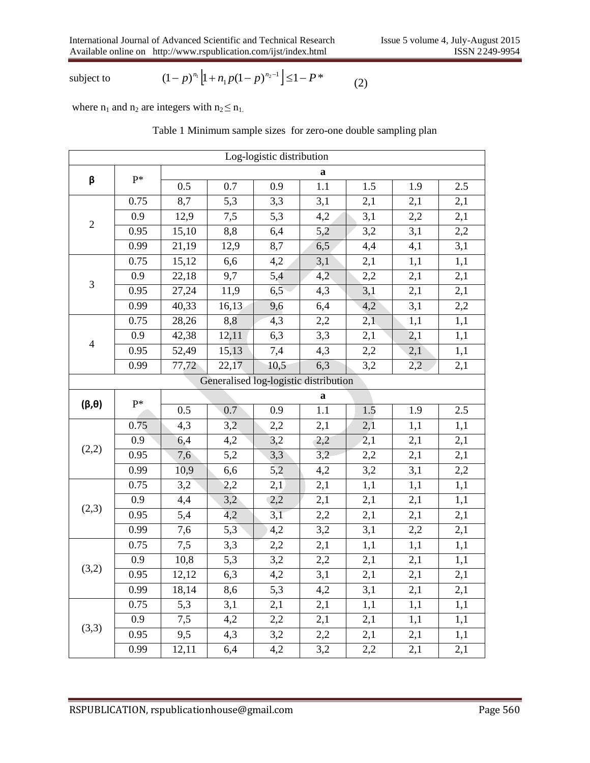subject to

$$
(1-p)^{n_1} \left[1 + n_1 p (1-p)^{n_2 - 1}\right] \le 1 - P^* \tag{2}
$$

where  $n_1$  and  $n_2$  are integers with  $n_2 \leq n_1$ .

#### Table 1 Minimum sample sizes for zero-one double sampling plan

| Log-logistic distribution             |                |       |                    |      |     |     |     |     |  |  |
|---------------------------------------|----------------|-------|--------------------|------|-----|-----|-----|-----|--|--|
|                                       |                | a     |                    |      |     |     |     |     |  |  |
| β                                     | $P^*$          | 0.5   | 0.7                | 0.9  | 1.1 | 1.5 | 1.9 | 2.5 |  |  |
|                                       | 0.75           | 8,7   | 5,3                | 3,3  | 3,1 | 2,1 | 2,1 | 2,1 |  |  |
|                                       | 0.9            | 12,9  | 7,5                | 5,3  | 4,2 | 3,1 | 2,2 | 2,1 |  |  |
| $\sqrt{2}$                            | 0.95           | 15,10 | 8,8                | 6,4  | 5,2 | 3,2 | 3,1 | 2,2 |  |  |
|                                       | 0.99           | 21,19 | 12,9               | 8,7  | 6,5 | 4,4 | 4,1 | 3,1 |  |  |
|                                       | 0.75           | 15,12 | 6,6                | 4,2  | 3,1 | 2,1 | 1,1 | 1,1 |  |  |
|                                       | 0.9            | 22,18 | 9,7                | 5,4  | 4,2 | 2,2 | 2,1 | 2,1 |  |  |
| $\mathfrak 3$                         | 0.95           | 27,24 | 11,9               | 6,5  | 4,3 | 3,1 | 2,1 | 2,1 |  |  |
|                                       | 0.99           | 40,33 | 16,13              | 9,6  | 6,4 | 4,2 | 3,1 | 2,2 |  |  |
|                                       | 0.75           | 28,26 | 8,8                | 4,3  | 2,2 | 2,1 | 1,1 | 1,1 |  |  |
|                                       | 0.9            | 42,38 | 12,11              | 6,3  | 3,3 | 2,1 | 2,1 | 1,1 |  |  |
| $\overline{4}$                        | 0.95           | 52,49 | 15,13              | 7,4  | 4,3 | 2,2 | 2,1 | 1,1 |  |  |
|                                       | 0.99           | 77,72 | $\overline{22,17}$ | 10,5 | 6,3 | 3,2 | 2,2 | 2,1 |  |  |
| Generalised log-logistic distribution |                |       |                    |      |     |     |     |     |  |  |
|                                       | $\mathbf{P}^*$ | a     |                    |      |     |     |     |     |  |  |
| $(\beta, \theta)$                     |                | 0.5   | 0.7                | 0.9  | 1.1 | 1.5 | 1.9 | 2.5 |  |  |
|                                       | 0.75           | 4,3   | 3,2                | 2,2  | 2,1 | 2,1 | 1,1 | 1,1 |  |  |
|                                       | 0.9            | 6,4   | 4,2                | 3,2  | 2,2 | 2,1 | 2,1 | 2,1 |  |  |
| (2,2)                                 | 0.95           | 7,6   | 5,2                | 3,3  | 3,2 | 2,2 | 2,1 | 2,1 |  |  |
|                                       | 0.99           | 10,9  | 6,6                | 5,2  | 4,2 | 3,2 | 3,1 | 2,2 |  |  |
|                                       | 0.75           | 3,2   | 2,2                | 2,1  | 2,1 | 1,1 | 1,1 | 1,1 |  |  |
|                                       | 0.9            | 4,4   | 3,2                | 2,2  | 2,1 | 2,1 | 2,1 | 1,1 |  |  |
| (2,3)                                 | 0.95           | 5,4   | 4,2                | 3,1  | 2,2 | 2,1 | 2,1 | 2,1 |  |  |
|                                       | 0.99           | 7,6   | 5,3                | 4,2  | 3,2 | 3,1 | 2,2 | 2,1 |  |  |
|                                       | 0.75           | 7,5   | 3,3                | 2,2  | 2,1 | 1,1 | 1,1 | 1,1 |  |  |
|                                       | 0.9            | 10,8  | 5,3                | 3,2  | 2,2 | 2,1 | 2,1 | 1,1 |  |  |
| (3,2)                                 | 0.95           | 12,12 | 6,3                | 4,2  | 3,1 | 2,1 | 2,1 | 2,1 |  |  |
|                                       | 0.99           | 18,14 | 8,6                | 5,3  | 4,2 | 3,1 | 2,1 | 2,1 |  |  |
|                                       | 0.75           | 5,3   | 3,1                | 2,1  | 2,1 | 1,1 | 1,1 | 1,1 |  |  |
|                                       | 0.9            | 7,5   | 4,2                | 2,2  | 2,1 | 2,1 | 1,1 | 1,1 |  |  |
| (3,3)                                 | 0.95           | 9,5   | 4,3                | 3,2  | 2,2 | 2,1 | 2,1 | 1,1 |  |  |
|                                       | 0.99           | 12,11 | 6,4                | 4,2  | 3,2 | 2,2 | 2,1 | 2,1 |  |  |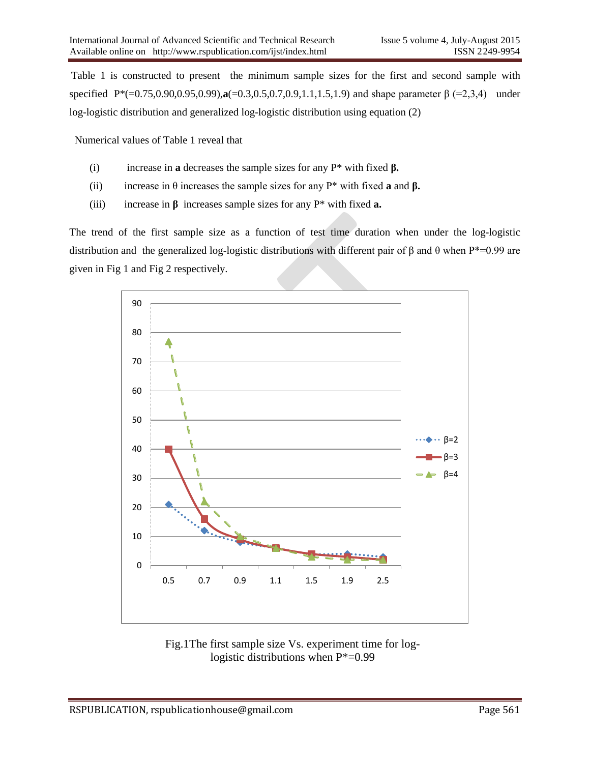Table 1 is constructed to present the minimum sample sizes for the first and second sample with specified P\*(=0.75,0.90,0.95,0.99), **a**(=0.3,0.5,0.7,0.9,1.1,1.5,1.9) and shape parameter β (=2,3,4) under log-logistic distribution and generalized log-logistic distribution using equation (2)

Numerical values of Table 1 reveal that

- (i) increase in **a** decreases the sample sizes for any P\* with fixed **β.**
- (ii) increase in  $\theta$  increases the sample sizes for any  $P^*$  with fixed **a** and  $\beta$ .
- (iii) increase in **β** increases sample sizes for any P\* with fixed **a.**

The trend of the first sample size as a function of test time duration when under the log-logistic distribution and the generalized log-logistic distributions with different pair of β and θ when P\*=0.99 are given in Fig 1 and Fig 2 respectively.



Fig.1The first sample size Vs. experiment time for loglogistic distributions when P\*=0.99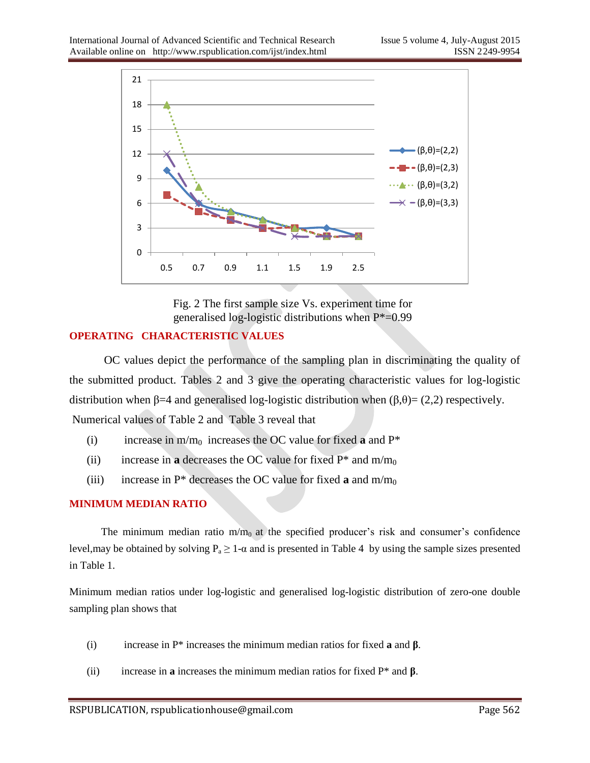

Fig. 2 The first sample size Vs. experiment time for generalised log-logistic distributions when P\*=0.99

## **OPERATING CHARACTERISTIC VALUES**

 OC values depict the performance of the sampling plan in discriminating the quality of the submitted product. Tables 2 and 3 give the operating characteristic values for log-logistic distribution when β=4 and generalised log-logistic distribution when  $(β,θ) = (2,2)$  respectively. Numerical values of Table 2 and Table 3 reveal that

- (i) increase in  $m/m_0$  increases the OC value for fixed **a** and  $P^*$
- (ii) increase in **a** decreases the OC value for fixed  $P^*$  and  $m/m_0$
- (iii) increase in  $P^*$  decreases the OC value for fixed **a** and  $m/m_0$

## **MINIMUM MEDIAN RATIO**

The minimum median ratio  $m/m_0$  at the specified producer's risk and consumer's confidence level, may be obtained by solving  $P_a \ge 1$ - $\alpha$  and is presented in Table 4 by using the sample sizes presented in Table 1.

Minimum median ratios under log-logistic and generalised log-logistic distribution of zero-one double sampling plan shows that

- (i) increase in P\* increases the minimum median ratios for fixed **a** and **β**.
- (ii) increase in **a** increases the minimum median ratios for fixed P\* and **β**.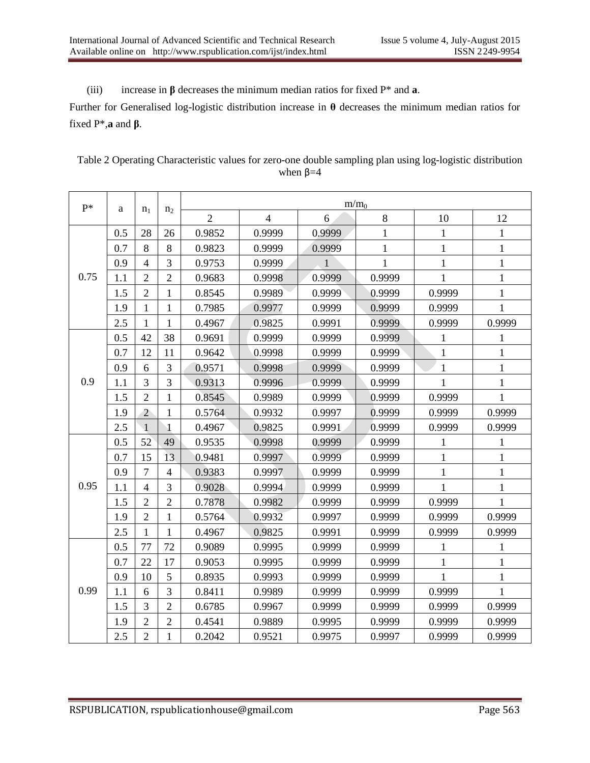(iii) increase in **β** decreases the minimum median ratios for fixed P\* and **a**.

Further for Generalised log-logistic distribution increase in **θ** decreases the minimum median ratios for fixed P\*,**a** and **β**.

| Table 2 Operating Characteristic values for zero-one double sampling plan using log-logistic distribution |
|-----------------------------------------------------------------------------------------------------------|
| when $\beta = 4$                                                                                          |

| $P*$ | a   | n <sub>1</sub> | n <sub>2</sub> | $m/m_0$        |                |        |              |              |              |  |  |  |
|------|-----|----------------|----------------|----------------|----------------|--------|--------------|--------------|--------------|--|--|--|
|      |     |                |                | $\overline{2}$ | $\overline{4}$ | 6      | $\,8\,$      | 10           | 12           |  |  |  |
|      | 0.5 | 28             | 26             | 0.9852         | 0.9999         | 0.9999 | $\mathbf{1}$ | $\mathbf{1}$ | $\mathbf 1$  |  |  |  |
|      | 0.7 | $8\,$          | $8\,$          | 0.9823         | 0.9999         | 0.9999 | $\mathbf{1}$ | $\mathbf{1}$ | $\mathbf{1}$ |  |  |  |
|      | 0.9 | $\overline{4}$ | 3              | 0.9753         | 0.9999         |        | $\mathbf{1}$ | $\mathbf{1}$ | $\mathbf{1}$ |  |  |  |
| 0.75 | 1.1 | $\sqrt{2}$     | $\overline{2}$ | 0.9683         | 0.9998         | 0.9999 | 0.9999       | 1            | $\mathbf{1}$ |  |  |  |
|      | 1.5 | $\overline{2}$ | $\mathbf{1}$   | 0.8545         | 0.9989         | 0.9999 | 0.9999       | 0.9999       | $\mathbf{1}$ |  |  |  |
|      | 1.9 | 1              | $\mathbf{1}$   | 0.7985         | 0.9977         | 0.9999 | 0.9999       | 0.9999       | 1            |  |  |  |
|      | 2.5 | 1              | $\mathbf{1}$   | 0.4967         | 0.9825         | 0.9991 | 0.9999       | 0.9999       | 0.9999       |  |  |  |
| 0.9  | 0.5 | 42             | 38             | 0.9691         | 0.9999         | 0.9999 | 0.9999       | $\mathbf{1}$ | $\mathbf{1}$ |  |  |  |
|      | 0.7 | 12             | 11             | 0.9642         | 0.9998         | 0.9999 | 0.9999       | $\mathbf{1}$ | $\mathbf{1}$ |  |  |  |
|      | 0.9 | 6              | $\overline{3}$ | 0.9571         | 0.9998         | 0.9999 | 0.9999       | $\mathbf{1}$ | $\mathbf 1$  |  |  |  |
|      | 1.1 | $\overline{3}$ | $\overline{3}$ | 0.9313         | 0.9996         | 0.9999 | 0.9999       | $\mathbf{1}$ | $\mathbf{1}$ |  |  |  |
|      | 1.5 | $\overline{2}$ | $\mathbf{1}$   | 0.8545         | 0.9989         | 0.9999 | 0.9999       | 0.9999       | $\mathbf{1}$ |  |  |  |
|      | 1.9 | $\overline{2}$ | $\mathbf{1}$   | 0.5764         | 0.9932         | 0.9997 | 0.9999       | 0.9999       | 0.9999       |  |  |  |
|      | 2.5 | $\overline{1}$ | $\mathbf{1}$   | 0.4967         | 0.9825         | 0.9991 | 0.9999       | 0.9999       | 0.9999       |  |  |  |
|      | 0.5 | 52             | 49             | 0.9535         | 0.9998         | 0.9999 | 0.9999       | $\mathbf{1}$ | $\mathbf{1}$ |  |  |  |
|      | 0.7 | 15             | 13             | 0.9481         | 0.9997         | 0.9999 | 0.9999       | $\mathbf{1}$ | $\mathbf{1}$ |  |  |  |
|      | 0.9 | $\overline{7}$ | $\overline{4}$ | 0.9383         | 0.9997         | 0.9999 | 0.9999       | $\mathbf{1}$ | $\mathbf{1}$ |  |  |  |
| 0.95 | 1.1 | $\overline{4}$ | 3              | 0.9028         | 0.9994         | 0.9999 | 0.9999       | 1            | $\mathbf{1}$ |  |  |  |
|      | 1.5 | $\overline{2}$ | $\overline{2}$ | 0.7878         | 0.9982         | 0.9999 | 0.9999       | 0.9999       | 1            |  |  |  |
|      | 1.9 | $\overline{2}$ | $\mathbf{1}$   | 0.5764         | 0.9932         | 0.9997 | 0.9999       | 0.9999       | 0.9999       |  |  |  |
|      | 2.5 | 1              | $\mathbf{1}$   | 0.4967         | 0.9825         | 0.9991 | 0.9999       | 0.9999       | 0.9999       |  |  |  |
|      | 0.5 | 77             | 72             | 0.9089         | 0.9995         | 0.9999 | 0.9999       | $\mathbf{1}$ | $\mathbf{1}$ |  |  |  |
|      | 0.7 | 22             | 17             | 0.9053         | 0.9995         | 0.9999 | 0.9999       | $\mathbf{1}$ | $\mathbf{1}$ |  |  |  |
|      | 0.9 | 10             | 5              | 0.8935         | 0.9993         | 0.9999 | 0.9999       | $\mathbf{1}$ | $\mathbf{1}$ |  |  |  |
| 0.99 | 1.1 | 6              | 3              | 0.8411         | 0.9989         | 0.9999 | 0.9999       | 0.9999       | $\mathbf{1}$ |  |  |  |
|      | 1.5 | 3              | $\overline{2}$ | 0.6785         | 0.9967         | 0.9999 | 0.9999       | 0.9999       | 0.9999       |  |  |  |
|      | 1.9 | $\overline{2}$ | $\overline{2}$ | 0.4541         | 0.9889         | 0.9995 | 0.9999       | 0.9999       | 0.9999       |  |  |  |
|      | 2.5 | $\overline{2}$ | $\mathbf{1}$   | 0.2042         | 0.9521         | 0.9975 | 0.9997       | 0.9999       | 0.9999       |  |  |  |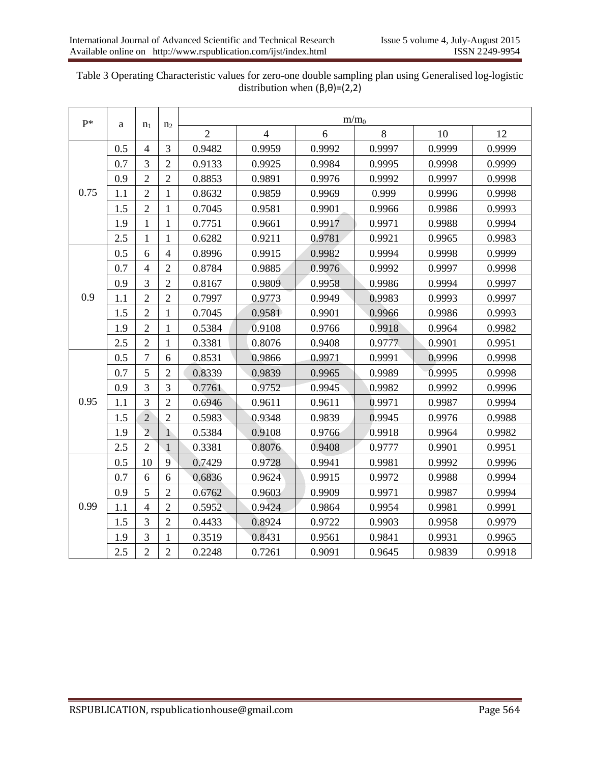| $P*$ | a   | n <sub>1</sub> | n <sub>2</sub> | m/m <sub>0</sub> |                |        |        |        |        |  |  |  |
|------|-----|----------------|----------------|------------------|----------------|--------|--------|--------|--------|--|--|--|
|      |     |                |                | $\overline{2}$   | $\overline{4}$ | 6      | 8      | 10     | 12     |  |  |  |
|      | 0.5 | $\overline{4}$ | 3              | 0.9482           | 0.9959         | 0.9992 | 0.9997 | 0.9999 | 0.9999 |  |  |  |
|      | 0.7 | 3              | $\overline{2}$ | 0.9133           | 0.9925         | 0.9984 | 0.9995 | 0.9998 | 0.9999 |  |  |  |
| 0.75 | 0.9 | $\overline{2}$ | $\overline{2}$ | 0.8853           | 0.9891         | 0.9976 | 0.9992 | 0.9997 | 0.9998 |  |  |  |
|      | 1.1 | $\overline{2}$ | $\mathbf{1}$   | 0.8632           | 0.9859         | 0.9969 | 0.999  | 0.9996 | 0.9998 |  |  |  |
|      | 1.5 | $\overline{2}$ | $\mathbf{1}$   | 0.7045           | 0.9581         | 0.9901 | 0.9966 | 0.9986 | 0.9993 |  |  |  |
|      | 1.9 | $\mathbf{1}$   | $\mathbf{1}$   | 0.7751           | 0.9661         | 0.9917 | 0.9971 | 0.9988 | 0.9994 |  |  |  |
|      | 2.5 | $\mathbf{1}$   | $\mathbf{1}$   | 0.6282           | 0.9211         | 0.9781 | 0.9921 | 0.9965 | 0.9983 |  |  |  |
|      | 0.5 | 6              | $\overline{4}$ | 0.8996           | 0.9915         | 0.9982 | 0.9994 | 0.9998 | 0.9999 |  |  |  |
|      | 0.7 | $\overline{4}$ | $\overline{2}$ | 0.8784           | 0.9885         | 0.9976 | 0.9992 | 0.9997 | 0.9998 |  |  |  |
|      | 0.9 | 3              | $\overline{2}$ | 0.8167           | 0.9809         | 0.9958 | 0.9986 | 0.9994 | 0.9997 |  |  |  |
| 0.9  | 1.1 | $\overline{2}$ | $\overline{2}$ | 0.7997           | 0.9773         | 0.9949 | 0.9983 | 0.9993 | 0.9997 |  |  |  |
|      | 1.5 | $\overline{2}$ | $\mathbf{1}$   | 0.7045           | 0.9581         | 0.9901 | 0.9966 | 0.9986 | 0.9993 |  |  |  |
|      | 1.9 | $\overline{2}$ | $\mathbf{1}$   | 0.5384           | 0.9108         | 0.9766 | 0.9918 | 0.9964 | 0.9982 |  |  |  |
|      | 2.5 | $\overline{2}$ | 1              | 0.3381           | 0.8076         | 0.9408 | 0.9777 | 0.9901 | 0.9951 |  |  |  |
|      | 0.5 | $\overline{7}$ | 6              | 0.8531           | 0.9866         | 0.9971 | 0.9991 | 0.9996 | 0.9998 |  |  |  |
|      | 0.7 | 5              | $\overline{2}$ | 0.8339           | 0.9839         | 0.9965 | 0.9989 | 0.9995 | 0.9998 |  |  |  |
| 0.95 | 0.9 | 3              | 3              | 0.7761           | 0.9752         | 0.9945 | 0.9982 | 0.9992 | 0.9996 |  |  |  |
|      | 1.1 | 3              | $\overline{2}$ | 0.6946           | 0.9611         | 0.9611 | 0.9971 | 0.9987 | 0.9994 |  |  |  |
|      | 1.5 | $\overline{2}$ | $\overline{2}$ | 0.5983           | 0.9348         | 0.9839 | 0.9945 | 0.9976 | 0.9988 |  |  |  |
|      | 1.9 | $\overline{2}$ | $\mathbf{1}$   | 0.5384           | 0.9108         | 0.9766 | 0.9918 | 0.9964 | 0.9982 |  |  |  |
|      | 2.5 | $\overline{2}$ | $\mathbf{1}$   | 0.3381           | 0.8076         | 0.9408 | 0.9777 | 0.9901 | 0.9951 |  |  |  |
|      | 0.5 | 10             | 9              | 0.7429           | 0.9728         | 0.9941 | 0.9981 | 0.9992 | 0.9996 |  |  |  |
|      | 0.7 | 6              | 6              | 0.6836           | 0.9624         | 0.9915 | 0.9972 | 0.9988 | 0.9994 |  |  |  |
|      | 0.9 | 5              | $\overline{2}$ | 0.6762           | 0.9603         | 0.9909 | 0.9971 | 0.9987 | 0.9994 |  |  |  |
| 0.99 | 1.1 | $\overline{4}$ | $\overline{2}$ | 0.5952           | 0.9424         | 0.9864 | 0.9954 | 0.9981 | 0.9991 |  |  |  |
|      | 1.5 | 3              | $\overline{2}$ | 0.4433           | 0.8924         | 0.9722 | 0.9903 | 0.9958 | 0.9979 |  |  |  |
|      | 1.9 | 3              | 1              | 0.3519           | 0.8431         | 0.9561 | 0.9841 | 0.9931 | 0.9965 |  |  |  |
|      | 2.5 | $\overline{2}$ | $\overline{2}$ | 0.2248           | 0.7261         | 0.9091 | 0.9645 | 0.9839 | 0.9918 |  |  |  |

Table 3 Operating Characteristic values for zero-one double sampling plan using Generalised log-logistic distribution when  $(\beta,\theta)$ =(2,2)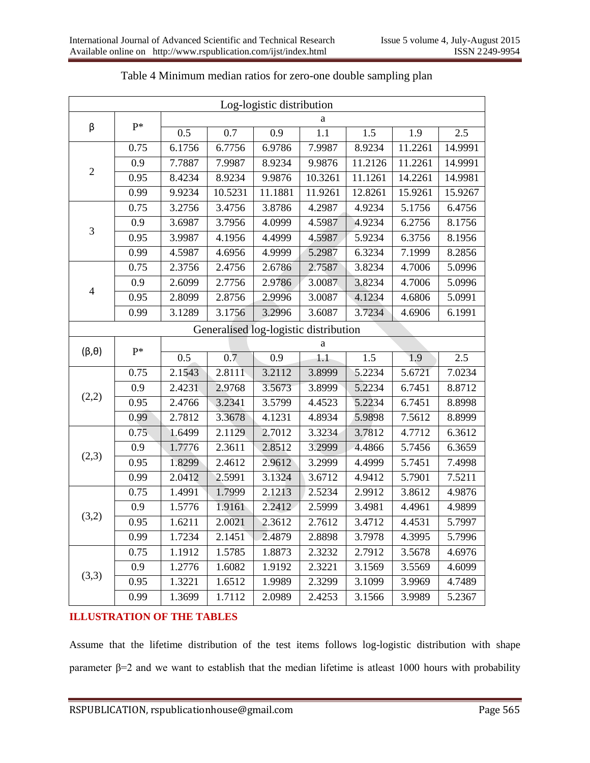| Log-logistic distribution |       |        |                                       |         |         |         |         |         |  |  |
|---------------------------|-------|--------|---------------------------------------|---------|---------|---------|---------|---------|--|--|
|                           | $P^*$ | a      |                                       |         |         |         |         |         |  |  |
| β                         |       | 0.5    | 0.7                                   | 0.9     | 1.1     | 1.5     | 1.9     | 2.5     |  |  |
|                           | 0.75  | 6.1756 | 6.7756                                | 6.9786  | 7.9987  | 8.9234  | 11.2261 | 14.9991 |  |  |
|                           | 0.9   | 7.7887 | 7.9987                                | 8.9234  | 9.9876  | 11.2126 | 11.2261 | 14.9991 |  |  |
| $\overline{c}$            | 0.95  | 8.4234 | 8.9234                                | 9.9876  | 10.3261 | 11.1261 | 14.2261 | 14.9981 |  |  |
|                           | 0.99  | 9.9234 | 10.5231                               | 11.1881 | 11.9261 | 12.8261 | 15.9261 | 15.9267 |  |  |
|                           | 0.75  | 3.2756 | 3.4756                                | 3.8786  | 4.2987  | 4.9234  | 5.1756  | 6.4756  |  |  |
|                           | 0.9   | 3.6987 | 3.7956                                | 4.0999  | 4.5987  | 4.9234  | 6.2756  | 8.1756  |  |  |
| 3                         | 0.95  | 3.9987 | 4.1956                                | 4.4999  | 4.5987  | 5.9234  | 6.3756  | 8.1956  |  |  |
|                           | 0.99  | 4.5987 | 4.6956                                | 4.9999  | 5.2987  | 6.3234  | 7.1999  | 8.2856  |  |  |
| 4                         | 0.75  | 2.3756 | 2.4756                                | 2.6786  | 2.7587  | 3.8234  | 4.7006  | 5.0996  |  |  |
|                           | 0.9   | 2.6099 | 2.7756                                | 2.9786  | 3.0087  | 3.8234  | 4.7006  | 5.0996  |  |  |
|                           | 0.95  | 2.8099 | 2.8756                                | 2.9996  | 3.0087  | 4.1234  | 4.6806  | 5.0991  |  |  |
|                           | 0.99  | 3.1289 | 3.1756                                | 3.2996  | 3.6087  | 3.7234  | 4.6906  | 6.1991  |  |  |
|                           |       |        | Generalised log-logistic distribution |         |         |         |         |         |  |  |
|                           | $P^*$ | a      |                                       |         |         |         |         |         |  |  |
| $(\beta, \theta)$         |       | 0.5    | 0.7                                   | 0.9     | 1.1     | 1.5     | 1.9     | 2.5     |  |  |
|                           | 0.75  | 2.1543 | 2.8111                                | 3.2112  | 3.8999  | 5.2234  | 5.6721  | 7.0234  |  |  |
|                           | 0.9   | 2.4231 | 2.9768                                | 3.5673  | 3.8999  | 5.2234  | 6.7451  | 8.8712  |  |  |
| (2,2)                     | 0.95  | 2.4766 | 3.2341                                | 3.5799  | 4.4523  | 5.2234  | 6.7451  | 8.8998  |  |  |
|                           | 0.99  | 2.7812 | 3.3678                                | 4.1231  | 4.8934  | 5.9898  | 7.5612  | 8.8999  |  |  |
|                           | 0.75  | 1.6499 | 2.1129                                | 2.7012  | 3.3234  | 3.7812  | 4.7712  | 6.3612  |  |  |
|                           | 0.9   | 1.7776 | 2.3611                                | 2.8512  | 3.2999  | 4.4866  | 5.7456  | 6.3659  |  |  |
| (2,3)                     | 0.95  | 1.8299 | 2.4612                                | 2.9612  | 3.2999  | 4.4999  | 5.7451  | 7.4998  |  |  |
|                           | 0.99  | 2.0412 | 2.5991                                | 3.1324  | 3.6712  | 4.9412  | 5.7901  | 7.5211  |  |  |
|                           | 0.75  | 1.4991 | 1.7999                                | 2.1213  | 2.5234  | 2.9912  | 3.8612  | 4.9876  |  |  |
|                           | 0.9   | 1.5776 | 1.9161                                | 2.2412  | 2.5999  | 3.4981  | 4.4961  | 4.9899  |  |  |
| (3,2)                     | 0.95  | 1.6211 | 2.0021                                | 2.3612  | 2.7612  | 3.4712  | 4.4531  | 5.7997  |  |  |
|                           | 0.99  | 1.7234 | 2.1451                                | 2.4879  | 2.8898  | 3.7978  | 4.3995  | 5.7996  |  |  |
|                           | 0.75  | 1.1912 | 1.5785                                | 1.8873  | 2.3232  | 2.7912  | 3.5678  | 4.6976  |  |  |
|                           | 0.9   | 1.2776 | 1.6082                                | 1.9192  | 2.3221  | 3.1569  | 3.5569  | 4.6099  |  |  |
| (3,3)                     | 0.95  | 1.3221 | 1.6512                                | 1.9989  | 2.3299  | 3.1099  | 3.9969  | 4.7489  |  |  |
|                           |       |        |                                       |         |         | 3.1566  |         |         |  |  |

| Table 4 Minimum median ratios for zero-one double sampling plan |  |  |  |
|-----------------------------------------------------------------|--|--|--|
|                                                                 |  |  |  |

#### **ILLUSTRATION OF THE TABLES**

Assume that the lifetime distribution of the test items follows log-logistic distribution with shape parameter  $β=2$  and we want to establish that the median lifetime is atleast 1000 hours with probability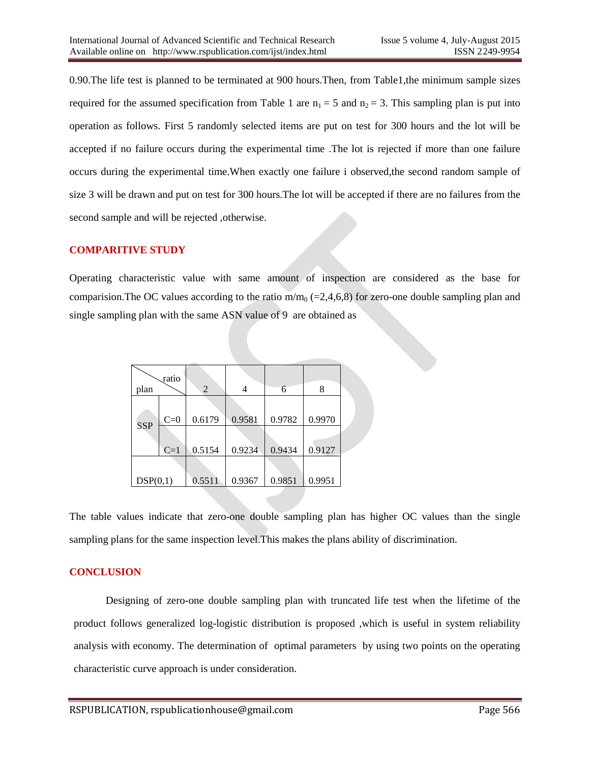0.90.The life test is planned to be terminated at 900 hours.Then, from Table1,the minimum sample sizes required for the assumed specification from Table 1 are  $n_1 = 5$  and  $n_2 = 3$ . This sampling plan is put into operation as follows. First 5 randomly selected items are put on test for 300 hours and the lot will be accepted if no failure occurs during the experimental time .The lot is rejected if more than one failure occurs during the experimental time.When exactly one failure i observed,the second random sample of size 3 will be drawn and put on test for 300 hours.The lot will be accepted if there are no failures from the second sample and will be rejected ,otherwise.

#### **COMPARITIVE STUDY**

Operating characteristic value with same amount of inspection are considered as the base for comparision. The OC values according to the ratio  $m/m_0$  (=2,4,6,8) for zero-one double sampling plan and single sampling plan with the same ASN value of 9 are obtained as

|            | ratio |                |        |        |        |  |
|------------|-------|----------------|--------|--------|--------|--|
| plan       |       | $\overline{2}$ |        | 6      | 8      |  |
|            |       |                |        |        |        |  |
| <b>SSP</b> | $C=0$ | 0.6179         | 0.9581 | 0.9782 | 0.9970 |  |
|            |       |                |        |        |        |  |
|            | $C=1$ | 0.5154         | 0.9234 | 0.9434 | 0.9127 |  |
|            |       |                |        |        |        |  |
| DSP(0,1)   |       | 0.5511         | 0.9367 | 0.9851 | 0.9951 |  |

The table values indicate that zero-one double sampling plan has higher OC values than the single sampling plans for the same inspection level.This makes the plans ability of discrimination.

#### **CONCLUSION**

 Designing of zero-one double sampling plan with truncated life test when the lifetime of the product follows generalized log-logistic distribution is proposed ,which is useful in system reliability analysis with economy. The determination of optimal parameters by using two points on the operating characteristic curve approach is under consideration.